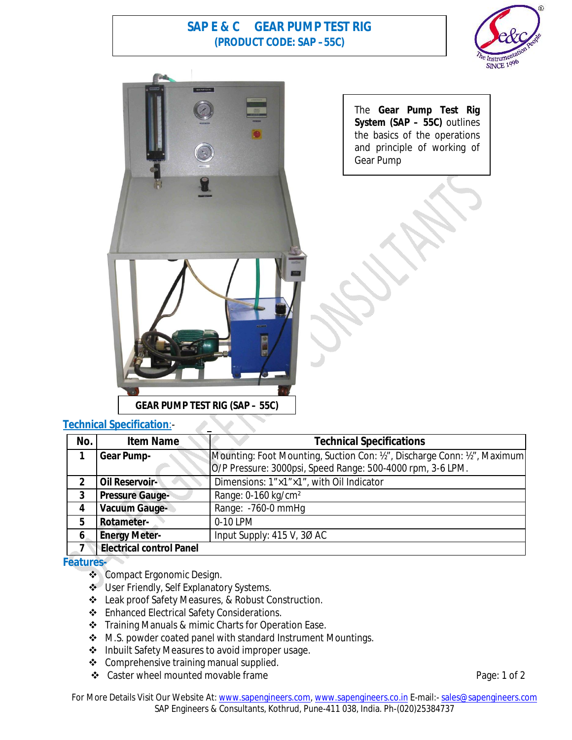## **SAP E & C GEAR PUMP TEST RIG (PRODUCT CODE: SAP –55C)**





## **Technical Specification**:-

| No.            | <b>Item Name</b>                | <b>Technical Specifications</b>                                           |
|----------------|---------------------------------|---------------------------------------------------------------------------|
|                | <b>Gear Pump-</b>               | Mounting: Foot Mounting, Suction Con: 1/2", Discharge Conn: 1/2", Maximum |
|                |                                 | O/P Pressure: 3000psi, Speed Range: 500-4000 rpm, 3-6 LPM.                |
| $\overline{2}$ | Oil Reservoir-                  | Dimensions: 1"×1"×1", with Oil Indicator                                  |
| 3              | <b>Pressure Gauge-</b>          | Range: 0-160 kg/cm <sup>2</sup>                                           |
| 4              | <b>Vacuum Gauge-</b>            | Range: -760-0 mmHg                                                        |
| 5              | Rotameter-                      | 0-10 LPM                                                                  |
| 6              | <b>Energy Meter-</b>            | Input Supply: 415 V, 30 AC                                                |
|                | <b>Electrical control Panel</b> |                                                                           |

## **Features-**

- ❖ Compact Ergonomic Design.
- User Friendly, Self Explanatory Systems.
- Leak proof Safety Measures, & Robust Construction.
- Enhanced Electrical Safety Considerations.
- Training Manuals & mimic Charts for Operation Ease.
- ❖ M.S. powder coated panel with standard Instrument Mountings.
- ❖ Inbuilt Safety Measures to avoid improper usage.
- ❖ Comprehensive training manual supplied.
- ◆ Caster wheel mounted movable frame **Page: 1 of 2**

For More Details Visit Our Website At: www.sapengineers.com, www.sapengineers.co.in E-mail:- sales@sapengineers.com SAP Engineers & Consultants, Kothrud, Pune-411 038, India. Ph-(020)25384737